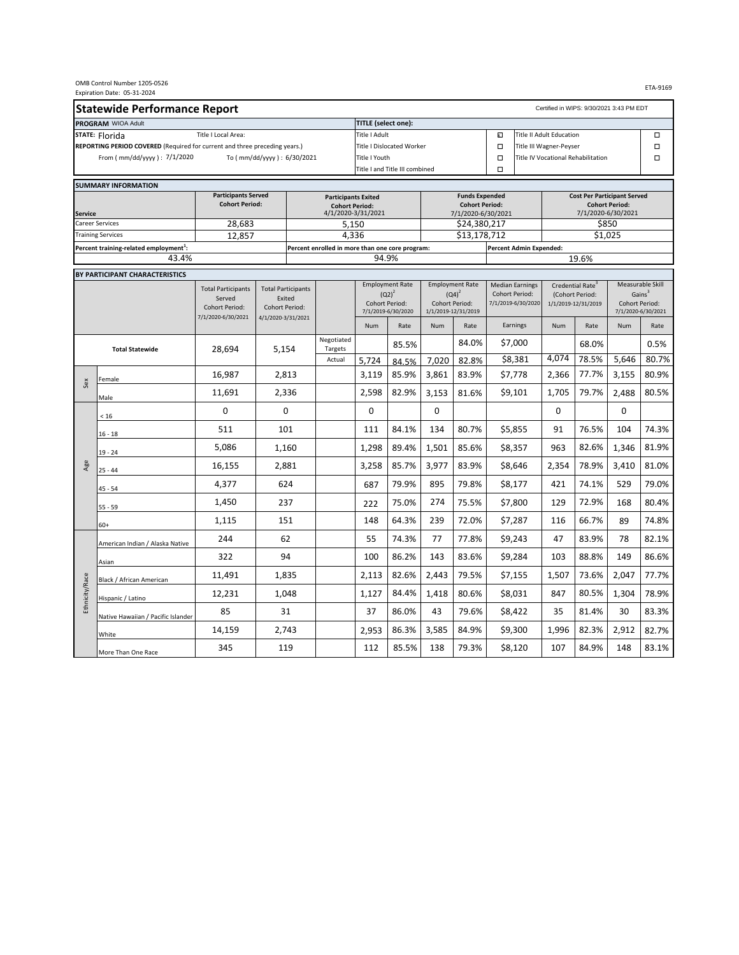|                                   | OMB Control Number 1205-0526<br>Expiration Date: 05-31-2024 |                                                                            |                                |                                                 |                                  |                            |                                             |                        |                                             |                                    |                                             |                                          |                    | ETA-9169           |
|-----------------------------------|-------------------------------------------------------------|----------------------------------------------------------------------------|--------------------------------|-------------------------------------------------|----------------------------------|----------------------------|---------------------------------------------|------------------------|---------------------------------------------|------------------------------------|---------------------------------------------|------------------------------------------|--------------------|--------------------|
|                                   | <b>Statewide Performance Report</b>                         |                                                                            |                                |                                                 |                                  |                            |                                             |                        |                                             |                                    |                                             | Certified in WIPS: 9/30/2021 3:43 PM EDT |                    |                    |
|                                   | PROGRAM WIOA Adult                                          |                                                                            |                                |                                                 | TITLE (select one):              |                            |                                             |                        |                                             |                                    |                                             |                                          |                    |                    |
|                                   | STATE: Florida                                              | Title I Local Area:                                                        |                                |                                                 |                                  | Title I Adult              |                                             |                        | Ł                                           | <b>Title II Adult Education</b>    |                                             |                                          | $\Box$             |                    |
|                                   |                                                             | REPORTING PERIOD COVERED (Required for current and three preceding years.) |                                |                                                 | <b>Title I Dislocated Worker</b> |                            |                                             |                        | $\Box$                                      | Title III Wagner-Peyser            |                                             |                                          |                    | $\Box$             |
|                                   | From ( mm/dd/yyyy ) : 7/1/2020                              |                                                                            | To ( mm/dd/yyyy ) : 6/30/2021  |                                                 | Title I Youth                    |                            |                                             |                        | $\Box$                                      | Title IV Vocational Rehabilitation |                                             |                                          | П                  |                    |
|                                   |                                                             |                                                                            | Title I and Title III combined |                                                 |                                  |                            | $\Box$                                      |                        |                                             |                                    |                                             |                                          |                    |                    |
|                                   | <b>SUMMARY INFORMATION</b>                                  |                                                                            |                                |                                                 |                                  |                            |                                             |                        |                                             |                                    |                                             |                                          |                    |                    |
|                                   |                                                             | <b>Participants Served</b><br><b>Participants Exited</b>                   |                                |                                                 |                                  |                            | <b>Funds Expended</b>                       |                        |                                             |                                    | <b>Cost Per Participant Served</b>          |                                          |                    |                    |
|                                   |                                                             | <b>Cohort Period:</b>                                                      |                                | <b>Cohort Period:</b><br>4/1/2020-3/31/2021     |                                  |                            | <b>Cohort Period:</b><br>7/1/2020-6/30/2021 |                        |                                             |                                    | <b>Cohort Period:</b><br>7/1/2020-6/30/2021 |                                          |                    |                    |
| <b>Service</b><br>Career Services |                                                             | 28,683                                                                     |                                | 5,150                                           |                                  | \$24,380,217               |                                             |                        | \$850                                       |                                    |                                             |                                          |                    |                    |
|                                   | <b>Training Services</b>                                    | 12,857                                                                     |                                | 4,336                                           |                                  |                            |                                             | \$13,178,712           |                                             |                                    |                                             | \$1,025                                  |                    |                    |
|                                   | Percent training-related employment <sup>1</sup> :          |                                                                            |                                | Percent enrolled in more than one core program: |                                  |                            | <b>Percent Admin Expended:</b>              |                        |                                             |                                    |                                             |                                          |                    |                    |
|                                   | 43.4%                                                       |                                                                            |                                |                                                 | 94.9%                            |                            |                                             |                        |                                             |                                    |                                             | 19.6%                                    |                    |                    |
|                                   | BY PARTICIPANT CHARACTERISTICS                              |                                                                            |                                |                                                 |                                  |                            |                                             |                        |                                             |                                    |                                             |                                          |                    |                    |
|                                   |                                                             | <b>Total Participants</b>                                                  | <b>Total Participants</b>      |                                                 |                                  | <b>Employment Rate</b>     |                                             | <b>Employment Rate</b> | <b>Median Earnings</b>                      |                                    |                                             | Credential Rate <sup>3</sup>             |                    | Measurable Skill   |
|                                   |                                                             | Served                                                                     | Exited                         |                                                 |                                  | $(Q2)^2$<br>Cohort Period: | Cohort Period:                              | $(Q4)^2$               | <b>Cohort Period:</b><br>7/1/2019-6/30/2020 |                                    |                                             | (Cohort Period:<br>1/1/2019-12/31/2019   | Cohort Period:     | Gains <sup>3</sup> |
|                                   |                                                             | Cohort Period:<br>7/1/2020-6/30/2021                                       | <b>Cohort Period:</b>          |                                                 | 7/1/2019-6/30/2020               |                            | 1/1/2019-12/31/2019                         |                        |                                             |                                    |                                             |                                          | 7/1/2020-6/30/2021 |                    |
|                                   |                                                             |                                                                            | 4/1/2020-3/31/2021             |                                                 | Num                              | Rate                       | Num                                         | Rate                   | Earnings                                    |                                    | Num                                         | Rate                                     | Num                | Rate               |
|                                   | <b>Total Statewide</b>                                      | 28,694                                                                     | 5,154                          | Negotiated<br>Targets                           |                                  | 85.5%                      |                                             | 84.0%                  | \$7,000                                     |                                    |                                             | 68.0%                                    |                    | 0.5%               |
|                                   |                                                             |                                                                            |                                | Actual                                          | 5,724                            | 84.5%                      | 7,020                                       | 82.8%                  | \$8,381                                     |                                    | 4,074                                       | 78.5%                                    | 5,646              | 80.7%              |
| Sex                               | Female                                                      | 16,987                                                                     | 2,813                          |                                                 | 3,119                            | 85.9%                      | 3,861                                       | 83.9%                  | \$7,778                                     |                                    | 2,366                                       | 77.7%                                    | 3,155              | 80.9%              |
|                                   | Male                                                        | 11,691                                                                     | 2,336                          |                                                 | 2,598                            | 82.9%                      | 3,153                                       | 81.6%                  | \$9,101                                     |                                    | 1,705                                       | 79.7%                                    | 2,488              | 80.5%              |
|                                   | < 16                                                        | 0                                                                          | 0                              |                                                 | $\pmb{0}$                        |                            | 0                                           |                        |                                             |                                    | 0                                           |                                          | 0                  |                    |
|                                   | $16 - 18$                                                   | 511                                                                        | 101                            |                                                 | 111                              | 84.1%                      | 134                                         | 80.7%                  | \$5,855                                     |                                    | 91                                          | 76.5%                                    | 104                | 74.3%              |
|                                   | $19 - 24$                                                   | 5,086                                                                      | 1,160                          |                                                 | 1,298                            | 89.4%                      | 1,501                                       | 85.6%                  | \$8,357                                     |                                    | 963                                         | 82.6%                                    | 1,346              | 81.9%              |
| Age                               | $25 - 44$                                                   | 16,155                                                                     | 2,881                          |                                                 | 3,258                            | 85.7%                      | 3,977                                       | 83.9%                  | \$8,646                                     |                                    | 2,354                                       | 78.9%                                    | 3,410              | 81.0%              |
|                                   | $45 - 54$                                                   | 4,377                                                                      | 624                            |                                                 | 687                              | 79.9%                      | 895                                         | 79.8%                  | \$8,177                                     |                                    | 421                                         | 74.1%                                    | 529                | 79.0%              |
|                                   | $55 - 59$                                                   | 1,450                                                                      | 237                            |                                                 | 222                              | 75.0%                      | 274                                         | 75.5%                  | \$7,800                                     |                                    | 129                                         | 72.9%                                    | 168                | 80.4%              |
|                                   | $60+$                                                       | 1,115                                                                      | 151                            |                                                 | 148                              | 64.3%                      | 239                                         | 72.0%                  | \$7,287                                     |                                    | 116                                         | 66.7%                                    | 89                 | 74.8%              |
|                                   | American Indian / Alaska Native                             | 244                                                                        | 62                             |                                                 | 55                               | 74.3%                      | 77                                          | 77.8%                  | \$9,243                                     |                                    | 47                                          | 83.9%                                    | 78                 | 82.1%              |
|                                   | Asian                                                       | 322                                                                        | 94                             |                                                 | 100                              | 86.2%                      | 143                                         | 83.6%                  | \$9,284                                     |                                    | 103                                         | 88.8%                                    | 149                | 86.6%              |
| Ethnicity/Race                    | Black / African American                                    | 11,491                                                                     | 1,835                          |                                                 | 2,113                            | 82.6%                      | 2,443                                       | 79.5%                  | \$7,155                                     |                                    | 1,507                                       | 73.6%                                    | 2,047              | 77.7%              |
|                                   | Hispanic / Latino                                           | 12,231                                                                     | 1,048                          |                                                 | 1,127                            | 84.4%                      | 1,418                                       | 80.6%                  | \$8,031                                     |                                    | 847                                         | 80.5%                                    | 1,304              | 78.9%              |
|                                   | Native Hawaiian / Pacific Islander                          | 85                                                                         | 31                             |                                                 | 37                               | 86.0%                      | 43                                          | 79.6%                  | \$8,422                                     |                                    | 35                                          | 81.4%                                    | 30                 | 83.3%              |
|                                   | White                                                       | 14,159                                                                     | 2,743                          |                                                 | 2,953                            | 86.3%                      | 3,585                                       | 84.9%                  | \$9,300                                     |                                    | 1,996                                       | 82.3%                                    | 2,912              | 82.7%              |
|                                   | More Than One Race                                          | 345                                                                        | 119                            |                                                 | 112                              | 85.5%                      | 138                                         | 79.3%                  | \$8,120                                     |                                    | 107                                         | 84.9%                                    | 148                | 83.1%              |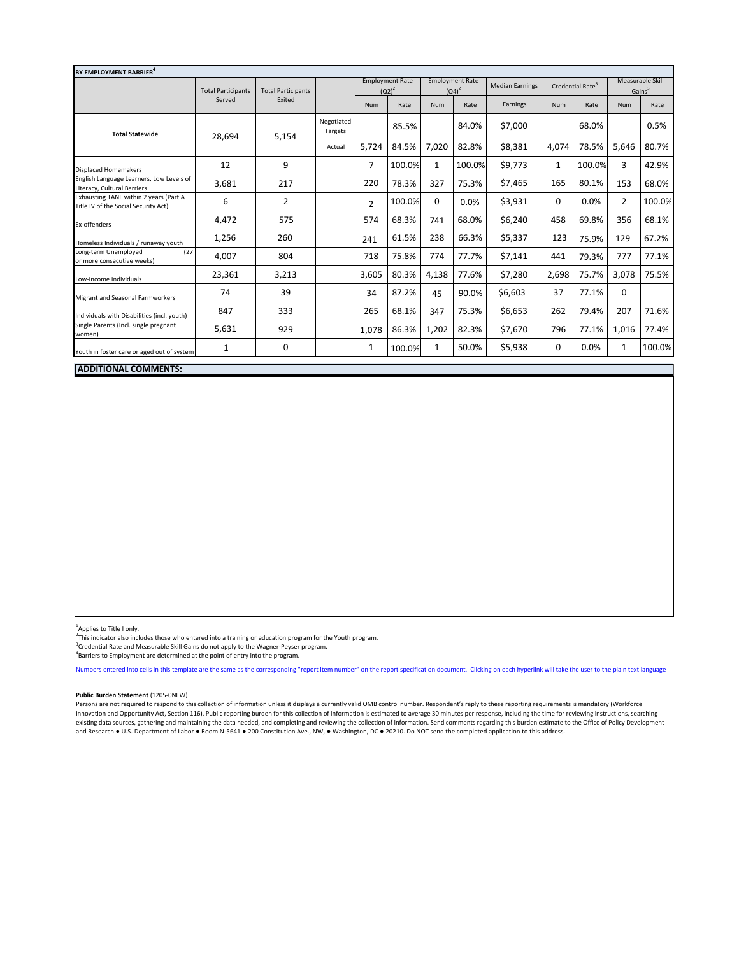| BY EMPLOYMENT BARRIER <sup>4</sup>                                             |                                     |                                     |                       |                                    |        |                                    |        |                        |                              |        |                                        |        |
|--------------------------------------------------------------------------------|-------------------------------------|-------------------------------------|-----------------------|------------------------------------|--------|------------------------------------|--------|------------------------|------------------------------|--------|----------------------------------------|--------|
|                                                                                | <b>Total Participants</b><br>Served | <b>Total Participants</b><br>Exited |                       | <b>Employment Rate</b><br>$(Q2)^2$ |        | <b>Employment Rate</b><br>$(Q4)^2$ |        | <b>Median Earnings</b> | Credential Rate <sup>3</sup> |        | Measurable Skill<br>Gains <sup>3</sup> |        |
|                                                                                |                                     |                                     |                       | Num                                | Rate   | <b>Num</b>                         | Rate   | Earnings               | <b>Num</b>                   | Rate   | <b>Num</b>                             | Rate   |
| <b>Total Statewide</b>                                                         | 28,694                              | 5,154                               | Negotiated<br>Targets |                                    | 85.5%  |                                    | 84.0%  | \$7,000                |                              | 68.0%  |                                        | 0.5%   |
|                                                                                |                                     |                                     | Actual                | 5,724                              | 84.5%  | 7,020                              | 82.8%  | \$8,381                | 4,074                        | 78.5%  | 5,646                                  | 80.7%  |
| <b>Displaced Homemakers</b>                                                    | 12                                  | 9                                   |                       | 7                                  | 100.0% | 1                                  | 100.0% | \$9,773                | 1                            | 100.0% | 3                                      | 42.9%  |
| English Language Learners, Low Levels of<br>Literacy, Cultural Barriers        | 3,681                               | 217                                 |                       | 220                                | 78.3%  | 327                                | 75.3%  | \$7,465                | 165                          | 80.1%  | 153                                    | 68.0%  |
| Exhausting TANF within 2 years (Part A<br>Title IV of the Social Security Act) | 6                                   | $\overline{2}$                      |                       | $\overline{2}$                     | 100.0% | $\Omega$                           | 0.0%   | \$3,931                | 0                            | 0.0%   | $\overline{2}$                         | 100.0% |
| Ex-offenders                                                                   | 4,472                               | 575                                 |                       | 574                                | 68.3%  | 741                                | 68.0%  | \$6,240                | 458                          | 69.8%  | 356                                    | 68.1%  |
| Homeless Individuals / runaway youth                                           | 1,256                               | 260                                 |                       | 241                                | 61.5%  | 238                                | 66.3%  | \$5,337                | 123                          | 75.9%  | 129                                    | 67.2%  |
| Long-term Unemployed<br>(27)<br>or more consecutive weeks)                     | 4,007                               | 804                                 |                       | 718                                | 75.8%  | 774                                | 77.7%  | \$7,141                | 441                          | 79.3%  | 777                                    | 77.1%  |
| Low-Income Individuals                                                         | 23,361                              | 3,213                               |                       | 3,605                              | 80.3%  | 4,138                              | 77.6%  | \$7,280                | 2,698                        | 75.7%  | 3,078                                  | 75.5%  |
| Migrant and Seasonal Farmworkers                                               | 74                                  | 39                                  |                       | 34                                 | 87.2%  | 45                                 | 90.0%  | \$6,603                | 37                           | 77.1%  | 0                                      |        |
| Individuals with Disabilities (incl. youth)                                    | 847                                 | 333                                 |                       | 265                                | 68.1%  | 347                                | 75.3%  | \$6,653                | 262                          | 79.4%  | 207                                    | 71.6%  |
| Single Parents (Incl. single pregnant<br>women)                                | 5,631                               | 929                                 |                       | 1,078                              | 86.3%  | 1,202                              | 82.3%  | \$7,670                | 796                          | 77.1%  | 1,016                                  | 77.4%  |
| Youth in foster care or aged out of system                                     | 1                                   | 0                                   |                       | 1                                  | 100.0% | 1                                  | 50.0%  | \$5,938                | 0                            | 0.0%   | $\mathbf{1}$                           | 100.0% |

## **ADDITIONAL COMMENTS:**

<sup>1</sup>Applies to Title I only.

 $2\overline{h}$  This indicator also includes those who entered into a training or education program for the Youth program.

"This indicator also includes those who entered into a training or education program for the Youth program.<br><sup>3</sup>Credential Rate and Measurable Skill Gains do not apply to the Wagner-Peyser program.<br><sup>4</sup>Pacriers to Employment

Barriers to Employment are determined at the point of entry into the program.

Numbers entered into cells in this template are the same as the corresponding "report item number" on the report specification document. Clicking on each hyperlink will take the user to the plain text language

## **Public Burden Statement** (1205-0NEW)

Persons are not required to respond to this collection of information unless it displays a currently valid OMB control number. Respondent's reply to these reporting requirements is mandatory (Workforce Innovation and Opportunity Act, Section 116). Public reporting burden for this collection of information is estimated to average 30 minutes per response, including the time for reviewing instructions, searching existing data sources, gathering and maintaining the data needed, and completing and reviewing the collection of information. Send comments regarding this burden estimate to the Office of Policy Development and Research ● U.S. Department of Labor ● Room N-5641 ● 200 Constitution Ave., NW, ● Washington, DC ● 20210. Do NOT send the completed application to this address.